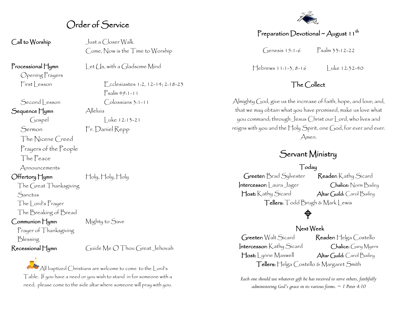## Order of Service

Call to Worship Just a Closer Walk Come, Now is the Time to Worship

Opening Prayers

Sequence Hymn Alleluía

The Nicene Creed

Prayers of the People

The Peace

Announcements

Offertory Hymn Holy, Holy, Holy

The Great Thanksgiving **Sanctus** 

The Lord's Prayer

The Breaking of Bread

Prayer of Thanksgiving

Communion Hymn Mighty to Save

Blessing

Recessional Hymn Guide Me O Thou Great Jehovah

All baptized Christians are welcome to come to the Lord's Table. If you have a need or you wish to stand in for someone with a need, please come to the side altar where someone will pray with you.

Processional Hymn Let (1s, with a Gladsome Mind

 $First less on$   $\lceil \cdot \cdot \cdot \rceil$  cclesiastes 1:2, 12-14; 2:18-23 Psalm 49:1-11 Second | esson Colossians 3:1-11

 $\int \csc x \, dx$  Luke 12:13-21

Sermon Fr. Daniel Repp

### Preparation Devotional ~ August 11<sup>th</sup>

Genesis 15:1-6 Psalm 33:12-22

 $Hebrews 11:1-3, 8-16$  Luke 12:32-40

#### The Collect

Almighty God, give us the increase of faith, hope, and love; and, that we may obtain what you have promised, make us love what you command; through Jesus Christ our Lord, who lives and reigns with you and the  $\pm$ oly Spirit, one God, for ever and ever. Amen.

## Servant Ministry

#### Today

Greeter: Brad Sylvester Reader: Kathy Sicard Intercessor: Laura Jager Chalice: Norm Bailey Host: Kathy Sicard Altar Guild: Carol Bailey Tellers: Todd Brugh & Mark Lewis

## Next Week

⊕

Greeter: Walt Sicard Reader: Helga Costello Intercessor: Kathy Sicard Chalice: Gary Myers Host: Lynne Maxwell Altar Guild: Carol Bailey Tellers: Helga Costello & Margaret Smith

*Each one should use whatever gift he has received to serve others, faithfully administering God's grace in its various forms. ~ 1 Peter 4:10*